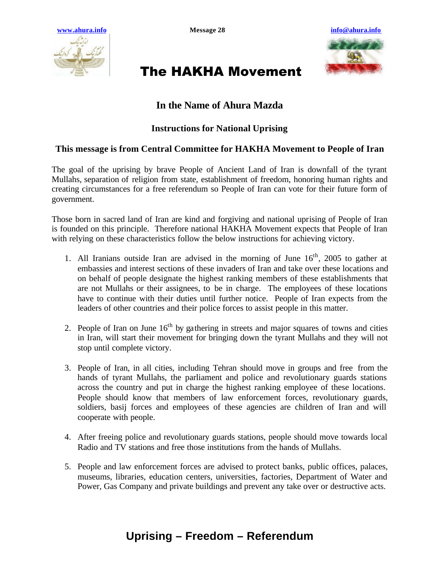



# The HAKHA Movement

### **In the Name of Ahura Mazda**

#### **Instructions for National Uprising**

#### **This message is from Central Committee for HAKHA Movement to People of Iran**

The goal of the uprising by brave People of Ancient Land of Iran is downfall of the tyrant Mullahs, separation of religion from state, establishment of freedom, honoring human rights and creating circumstances for a free referendum so People of Iran can vote for their future form of government.

Those born in sacred land of Iran are kind and forgiving and national uprising of People of Iran is founded on this principle. Therefore national HAKHA Movement expects that People of Iran with relying on these characteristics follow the below instructions for achieving victory.

- 1. All Iranians outside Iran are advised in the morning of June  $16<sup>th</sup>$ , 2005 to gather at embassies and interest sections of these invaders of Iran and take over these locations and on behalf of people designate the highest ranking members of these establishments that are not Mullahs or their assignees, to be in charge. The employees of these locations have to continue with their duties until further notice. People of Iran expects from the leaders of other countries and their police forces to assist people in this matter.
- 2. People of Iran on June  $16<sup>th</sup>$  by gathering in streets and major squares of towns and cities in Iran, will start their movement for bringing down the tyrant Mullahs and they will not stop until complete victory.
- 3. People of Iran, in all cities, including Tehran should move in groups and free from the hands of tyrant Mullahs, the parliament and police and revolutionary guards stations across the country and put in charge the highest ranking employee of these locations. People should know that members of law enforcement forces, revolutionary guards, soldiers, basij forces and employees of these agencies are children of Iran and will cooperate with people.
- 4. After freeing police and revolutionary guards stations, people should move towards local Radio and TV stations and free those institutions from the hands of Mullahs.
- 5. People and law enforcement forces are advised to protect banks, public offices, palaces, museums, libraries, education centers, universities, factories, Department of Water and Power, Gas Company and private buildings and prevent any take over or destructive acts.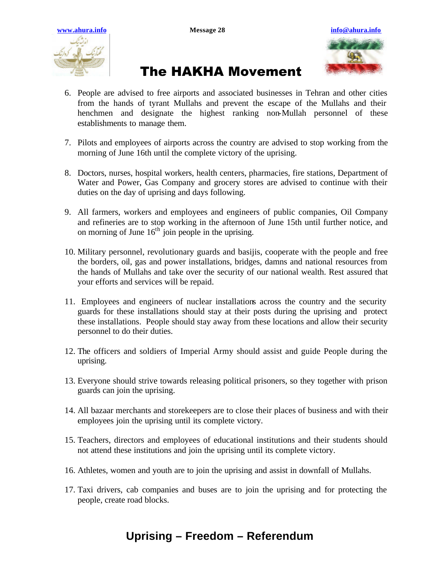



### The HAKHA Movement

- 6. People are advised to free airports and associated businesses in Tehran and other cities from the hands of tyrant Mullahs and prevent the escape of the Mullahs and their henchmen and designate the highest ranking non-Mullah personnel of these establishments to manage them.
- 7. Pilots and employees of airports across the country are advised to stop working from the morning of June 16th until the complete victory of the uprising.
- 8. Doctors, nurses, hospital workers, health centers, pharmacies, fire stations, Department of Water and Power, Gas Company and grocery stores are advised to continue with their duties on the day of uprising and days following.
- 9. All farmers, workers and employees and engineers of public companies, Oil Company and refineries are to stop working in the afternoon of June 15th until further notice, and on morning of June  $16<sup>th</sup>$  join people in the uprising.
- 10. Military personnel, revolutionary guards and basijis, cooperate with the people and free the borders, oil, gas and power installations, bridges, damns and national resources from the hands of Mullahs and take over the security of our national wealth. Rest assured that your efforts and services will be repaid.
- 11. Employees and engineers of nuclear installations across the country and the security guards for these installations should stay at their posts during the uprising and protect these installations. People should stay away from these locations and allow their security personnel to do their duties.
- 12. The officers and soldiers of Imperial Army should assist and guide People during the uprising.
- 13. Everyone should strive towards releasing political prisoners, so they together with prison guards can join the uprising.
- 14. All bazaar merchants and storekeepers are to close their places of business and with their employees join the uprising until its complete victory.
- 15. Teachers, directors and employees of educational institutions and their students should not attend these institutions and join the uprising until its complete victory.
- 16. Athletes, women and youth are to join the uprising and assist in downfall of Mullahs.
- 17. Taxi drivers, cab companies and buses are to join the uprising and for protecting the people, create road blocks.

### **Uprising – Freedom – Referendum**